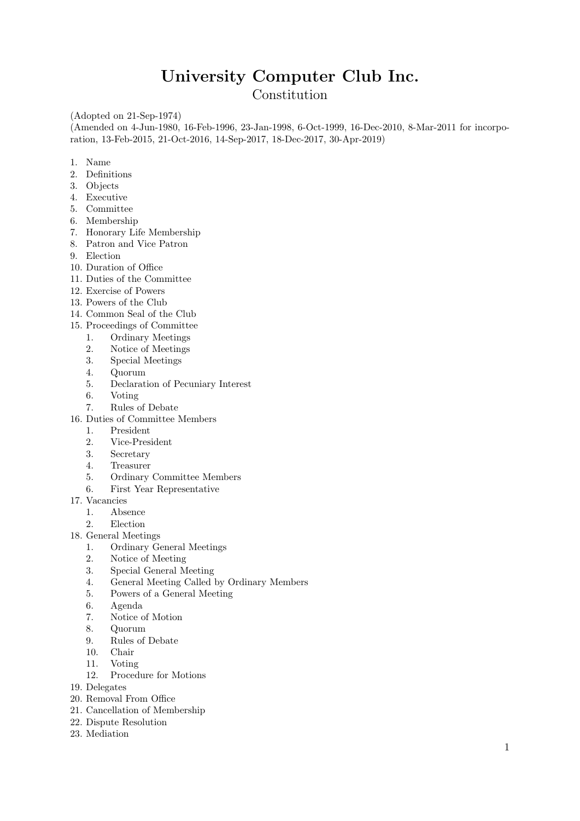# University Computer Club Inc.

Constitution

(Adopted on 21-Sep-1974)

(Amended on 4-Jun-1980, 16-Feb-1996, 23-Jan-1998, 6-Oct-1999, 16-Dec-2010, 8-Mar-2011 for incorporation, 13-Feb-2015, 21-Oct-2016, 14-Sep-2017, 18-Dec-2017, 30-Apr-2019)

- 1. Name
- 2. Definitions
- 3. Objects
- 4. Executive
- 5. Committee
- 6. Membership
- 7. Honorary Life Membership
- 8. Patron and Vice Patron
- 9. Election
- 10. Duration of Office
- 11. Duties of the Committee
- 12. Exercise of Powers
- 13. Powers of the Club
- 14. Common Seal of the Club
- 15. Proceedings of Committee
	- 1. Ordinary Meetings
	- 2. Notice of Meetings
	- 3. Special Meetings
	- 4. Quorum
	- 5. Declaration of Pecuniary Interest
	- 6. Voting
	- 7. Rules of Debate
- 16. Duties of Committee Members
	- 1. President
	- 2. Vice-President
	- 3. Secretary
	- 4. Treasurer
	- 5. Ordinary Committee Members
	- 6. First Year Representative
- 17. Vacancies
	- 1. Absence
	- 2. Election
- 18. General Meetings
	- 1. Ordinary General Meetings
	- 2. Notice of Meeting
	- 3. Special General Meeting
	- 4. General Meeting Called by Ordinary Members
	- 5. Powers of a General Meeting
	- 6. Agenda
	- 7. Notice of Motion
	- 8. Quorum
	- 9. Rules of Debate
	- 10. Chair
	- 11. Voting
	- 12. Procedure for Motions
- 19. Delegates
- 20. Removal From Office
- 21. Cancellation of Membership
- 22. Dispute Resolution
- 23. Mediation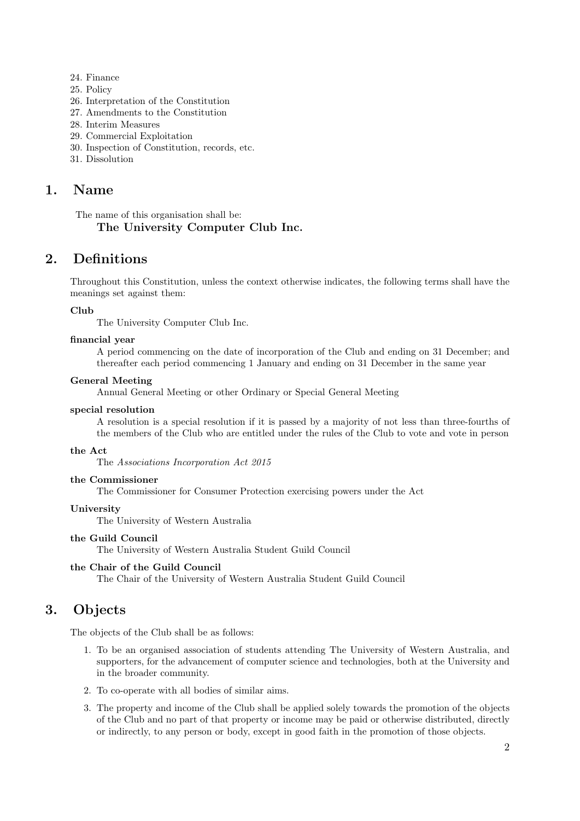- 24. Finance
- 25. Policy
- 26. Interpretation of the Constitution
- 27. Amendments to the Constitution
- 28. Interim Measures
- 29. Commercial Exploitation
- 30. Inspection of Constitution, records, etc.
- 31. Dissolution

### 1. Name

The name of this organisation shall be:

### The University Computer Club Inc.

### 2. Definitions

Throughout this Constitution, unless the context otherwise indicates, the following terms shall have the meanings set against them:

#### Club

The University Computer Club Inc.

#### financial year

A period commencing on the date of incorporation of the Club and ending on 31 December; and thereafter each period commencing 1 January and ending on 31 December in the same year

#### General Meeting

Annual General Meeting or other Ordinary or Special General Meeting

#### special resolution

A resolution is a special resolution if it is passed by a majority of not less than three-fourths of the members of the Club who are entitled under the rules of the Club to vote and vote in person

#### the Act

The Associations Incorporation Act 2015

#### the Commissioner

The Commissioner for Consumer Protection exercising powers under the Act

#### University

The University of Western Australia

#### the Guild Council

The University of Western Australia Student Guild Council

#### the Chair of the Guild Council

The Chair of the University of Western Australia Student Guild Council

### 3. Objects

The objects of the Club shall be as follows:

- 1. To be an organised association of students attending The University of Western Australia, and supporters, for the advancement of computer science and technologies, both at the University and in the broader community.
- 2. To co-operate with all bodies of similar aims.
- 3. The property and income of the Club shall be applied solely towards the promotion of the objects of the Club and no part of that property or income may be paid or otherwise distributed, directly or indirectly, to any person or body, except in good faith in the promotion of those objects.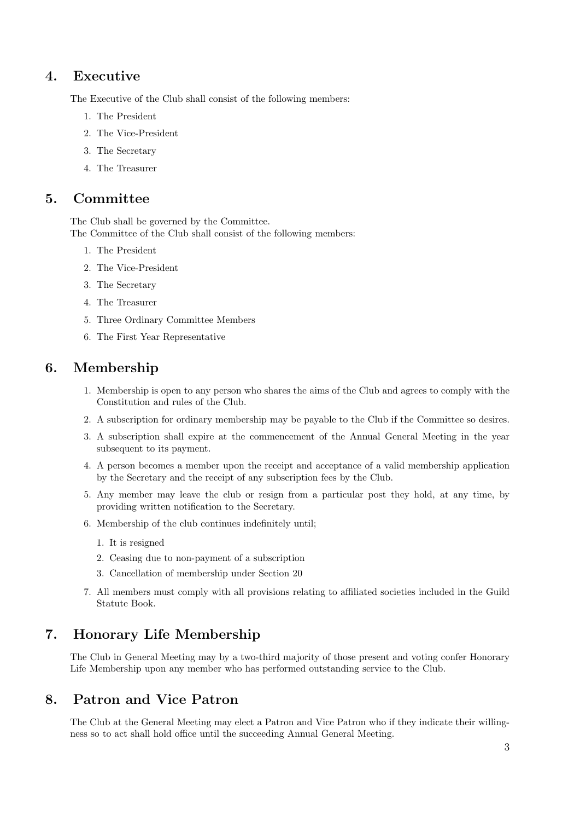# 4. Executive

The Executive of the Club shall consist of the following members:

- 1. The President
- 2. The Vice-President
- 3. The Secretary
- 4. The Treasurer

### 5. Committee

The Club shall be governed by the Committee. The Committee of the Club shall consist of the following members:

- 1. The President
- 2. The Vice-President
- 3. The Secretary
- 4. The Treasurer
- 5. Three Ordinary Committee Members
- 6. The First Year Representative

### 6. Membership

- 1. Membership is open to any person who shares the aims of the Club and agrees to comply with the Constitution and rules of the Club.
- 2. A subscription for ordinary membership may be payable to the Club if the Committee so desires.
- 3. A subscription shall expire at the commencement of the Annual General Meeting in the year subsequent to its payment.
- 4. A person becomes a member upon the receipt and acceptance of a valid membership application by the Secretary and the receipt of any subscription fees by the Club.
- 5. Any member may leave the club or resign from a particular post they hold, at any time, by providing written notification to the Secretary.
- 6. Membership of the club continues indefinitely until;
	- 1. It is resigned
	- 2. Ceasing due to non-payment of a subscription
	- 3. Cancellation of membership under Section 20
- 7. All members must comply with all provisions relating to affiliated societies included in the Guild Statute Book.

# 7. Honorary Life Membership

The Club in General Meeting may by a two-third majority of those present and voting confer Honorary Life Membership upon any member who has performed outstanding service to the Club.

# 8. Patron and Vice Patron

The Club at the General Meeting may elect a Patron and Vice Patron who if they indicate their willingness so to act shall hold office until the succeeding Annual General Meeting.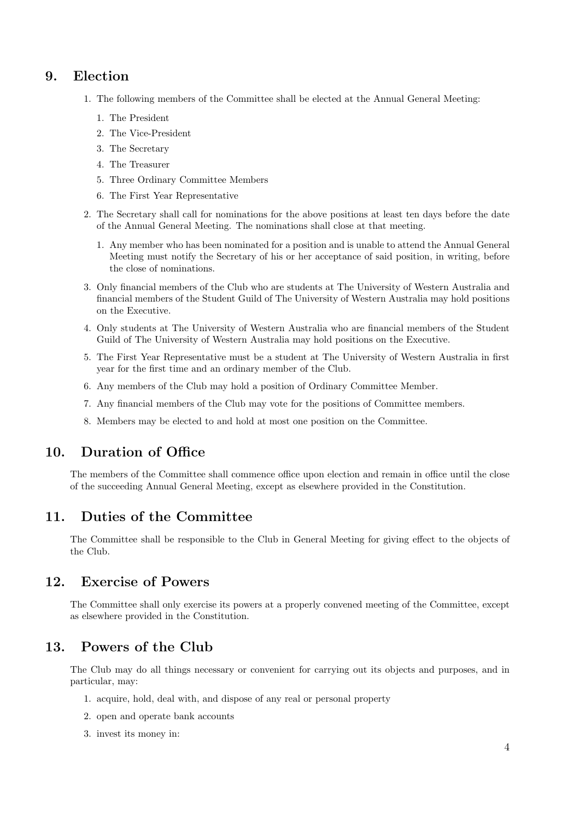### 9. Election

- 1. The following members of the Committee shall be elected at the Annual General Meeting:
	- 1. The President
	- 2. The Vice-President
	- 3. The Secretary
	- 4. The Treasurer
	- 5. Three Ordinary Committee Members
	- 6. The First Year Representative
- 2. The Secretary shall call for nominations for the above positions at least ten days before the date of the Annual General Meeting. The nominations shall close at that meeting.
	- 1. Any member who has been nominated for a position and is unable to attend the Annual General Meeting must notify the Secretary of his or her acceptance of said position, in writing, before the close of nominations.
- 3. Only financial members of the Club who are students at The University of Western Australia and financial members of the Student Guild of The University of Western Australia may hold positions on the Executive.
- 4. Only students at The University of Western Australia who are financial members of the Student Guild of The University of Western Australia may hold positions on the Executive.
- 5. The First Year Representative must be a student at The University of Western Australia in first year for the first time and an ordinary member of the Club.
- 6. Any members of the Club may hold a position of Ordinary Committee Member.
- 7. Any financial members of the Club may vote for the positions of Committee members.
- 8. Members may be elected to and hold at most one position on the Committee.

# 10. Duration of Office

The members of the Committee shall commence office upon election and remain in office until the close of the succeeding Annual General Meeting, except as elsewhere provided in the Constitution.

### 11. Duties of the Committee

The Committee shall be responsible to the Club in General Meeting for giving effect to the objects of the Club.

# 12. Exercise of Powers

The Committee shall only exercise its powers at a properly convened meeting of the Committee, except as elsewhere provided in the Constitution.

### 13. Powers of the Club

The Club may do all things necessary or convenient for carrying out its objects and purposes, and in particular, may:

- 1. acquire, hold, deal with, and dispose of any real or personal property
- 2. open and operate bank accounts
- 3. invest its money in: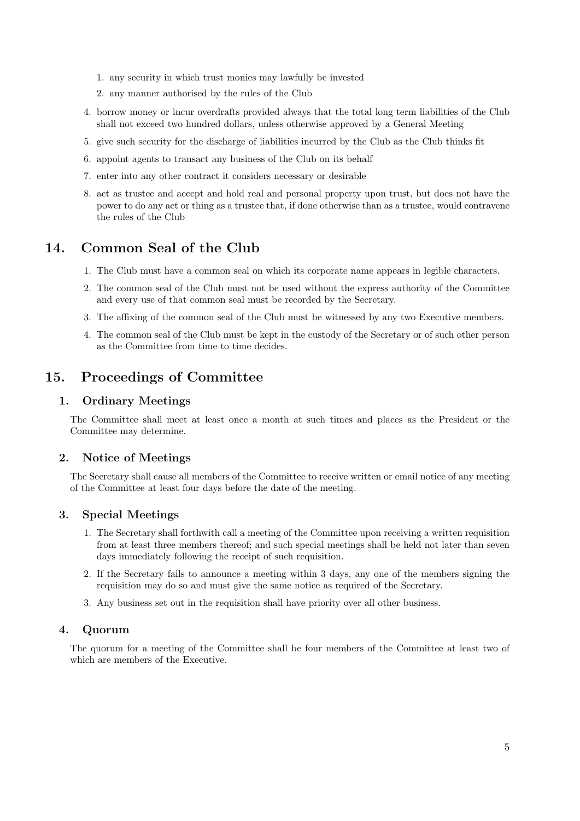- 1. any security in which trust monies may lawfully be invested
- 2. any manner authorised by the rules of the Club
- 4. borrow money or incur overdrafts provided always that the total long term liabilities of the Club shall not exceed two hundred dollars, unless otherwise approved by a General Meeting
- 5. give such security for the discharge of liabilities incurred by the Club as the Club thinks fit
- 6. appoint agents to transact any business of the Club on its behalf
- 7. enter into any other contract it considers necessary or desirable
- 8. act as trustee and accept and hold real and personal property upon trust, but does not have the power to do any act or thing as a trustee that, if done otherwise than as a trustee, would contravene the rules of the Club

### 14. Common Seal of the Club

- 1. The Club must have a common seal on which its corporate name appears in legible characters.
- 2. The common seal of the Club must not be used without the express authority of the Committee and every use of that common seal must be recorded by the Secretary.
- 3. The affixing of the common seal of the Club must be witnessed by any two Executive members.
- 4. The common seal of the Club must be kept in the custody of the Secretary or of such other person as the Committee from time to time decides.

# 15. Proceedings of Committee

### 1. Ordinary Meetings

The Committee shall meet at least once a month at such times and places as the President or the Committee may determine.

#### 2. Notice of Meetings

The Secretary shall cause all members of the Committee to receive written or email notice of any meeting of the Committee at least four days before the date of the meeting.

#### 3. Special Meetings

- 1. The Secretary shall forthwith call a meeting of the Committee upon receiving a written requisition from at least three members thereof; and such special meetings shall be held not later than seven days immediately following the receipt of such requisition.
- 2. If the Secretary fails to announce a meeting within 3 days, any one of the members signing the requisition may do so and must give the same notice as required of the Secretary.
- 3. Any business set out in the requisition shall have priority over all other business.

#### 4. Quorum

The quorum for a meeting of the Committee shall be four members of the Committee at least two of which are members of the Executive.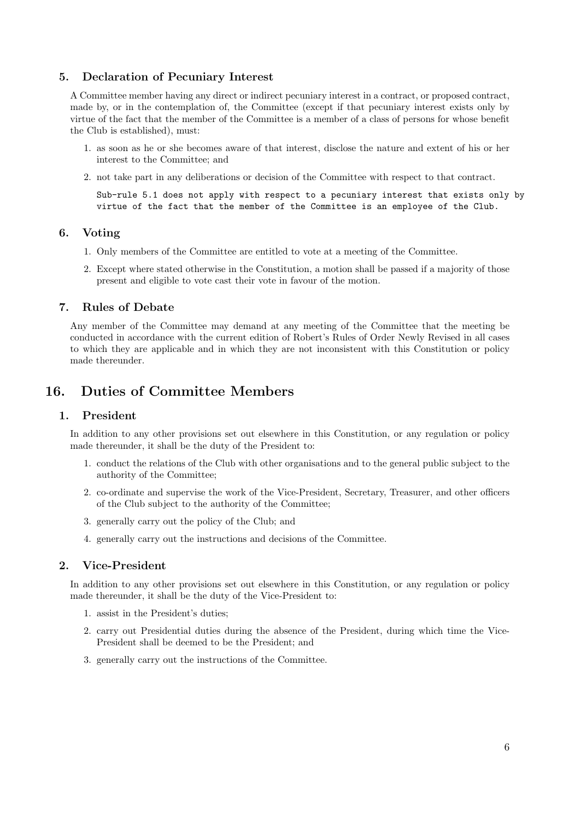#### 5. Declaration of Pecuniary Interest

A Committee member having any direct or indirect pecuniary interest in a contract, or proposed contract, made by, or in the contemplation of, the Committee (except if that pecuniary interest exists only by virtue of the fact that the member of the Committee is a member of a class of persons for whose benefit the Club is established), must:

- 1. as soon as he or she becomes aware of that interest, disclose the nature and extent of his or her interest to the Committee; and
- 2. not take part in any deliberations or decision of the Committee with respect to that contract.

Sub-rule 5.1 does not apply with respect to a pecuniary interest that exists only by virtue of the fact that the member of the Committee is an employee of the Club.

#### 6. Voting

- 1. Only members of the Committee are entitled to vote at a meeting of the Committee.
- 2. Except where stated otherwise in the Constitution, a motion shall be passed if a majority of those present and eligible to vote cast their vote in favour of the motion.

#### 7. Rules of Debate

Any member of the Committee may demand at any meeting of the Committee that the meeting be conducted in accordance with the current edition of Robert's Rules of Order Newly Revised in all cases to which they are applicable and in which they are not inconsistent with this Constitution or policy made thereunder.

### 16. Duties of Committee Members

#### 1. President

In addition to any other provisions set out elsewhere in this Constitution, or any regulation or policy made thereunder, it shall be the duty of the President to:

- 1. conduct the relations of the Club with other organisations and to the general public subject to the authority of the Committee;
- 2. co-ordinate and supervise the work of the Vice-President, Secretary, Treasurer, and other officers of the Club subject to the authority of the Committee;
- 3. generally carry out the policy of the Club; and
- 4. generally carry out the instructions and decisions of the Committee.

#### 2. Vice-President

In addition to any other provisions set out elsewhere in this Constitution, or any regulation or policy made thereunder, it shall be the duty of the Vice-President to:

- 1. assist in the President's duties;
- 2. carry out Presidential duties during the absence of the President, during which time the Vice-President shall be deemed to be the President; and
- 3. generally carry out the instructions of the Committee.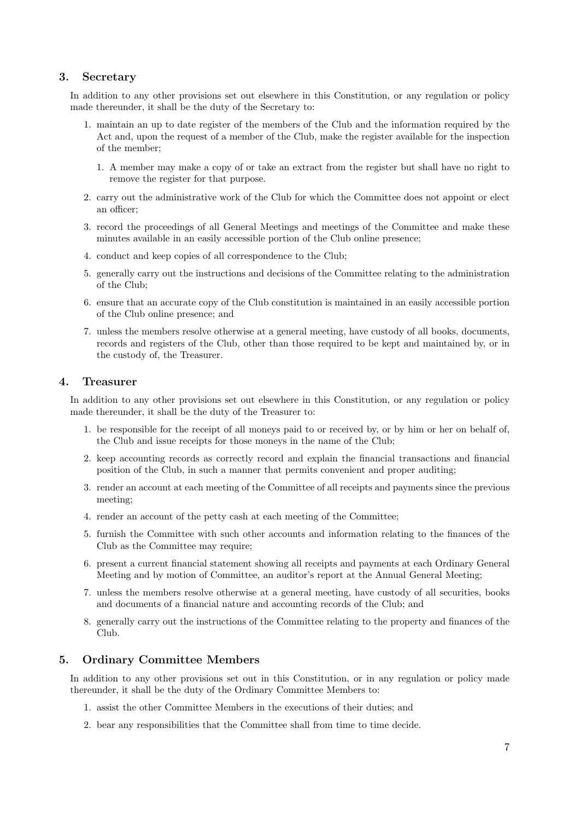#### 3. Secretary

In addition to any other provisions set out elsewhere in this Constitution, or any regulation or policy made thereunder, it shall be the duty of the Secretary to:

- 1. maintain an up to date register of the members of the Club and the information required by the Act and, upon the request of a member of the Club, make the register available for the inspection of the member;
	- 1. A member may make a copy of or take an extract from the register but shall have no right to remove the register for that purpose.
- 2. carry out the administrative work of the Club for which the Committee does not appoint or elect an officer;
- 3. record the proceedings of all General Meetings and meetings of the Committee and make these minutes available in an easily accessible portion of the Club online presence;
- 4. conduct and keep copies of all correspondence to the Club;
- 5. generally carry out the instructions and decisions of the Committee relating to the administration of the Club;
- 6. ensure that an accurate copy of the Club constitution is maintained in an easily accessible portion of the Club online presence; and
- 7. unless the members resolve otherwise at a general meeting, have custody of all books, documents, records and registers of the Club, other than those required to be kept and maintained by, or in the custody of, the Treasurer.

#### 4. Treasurer

In addition to any other provisions set out elsewhere in this Constitution, or any regulation or policy made thereunder, it shall be the duty of the Treasurer to:

- 1. be responsible for the receipt of all moneys paid to or received by, or by him or her on behalf of, the Club and issue receipts for those moneys in the name of the Club;
- 2. keep accounting records as correctly record and explain the financial transactions and financial position of the Club, in such a manner that permits convenient and proper auditing;
- 3. render an account at each meeting of the Committee of all receipts and payments since the previous meeting;
- 4. render an account of the petty cash at each meeting of the Committee;
- 5. furnish the Committee with such other accounts and information relating to the finances of the Club as the Committee may require;
- 6. present a current financial statement showing all receipts and payments at each Ordinary General Meeting and by motion of Committee, an auditor's report at the Annual General Meeting;
- 7. unless the members resolve otherwise at a general meeting, have custody of all securities, books and documents of a financial nature and accounting records of the Club; and
- 8. generally carry out the instructions of the Committee relating to the property and finances of the Club.

#### 5. Ordinary Committee Members

In addition to any other provisions set out in this Constitution, or in any regulation or policy made thereunder, it shall be the duty of the Ordinary Committee Members to:

- 1. assist the other Committee Members in the executions of their duties; and
- 2. bear any responsibilities that the Committee shall from time to time decide.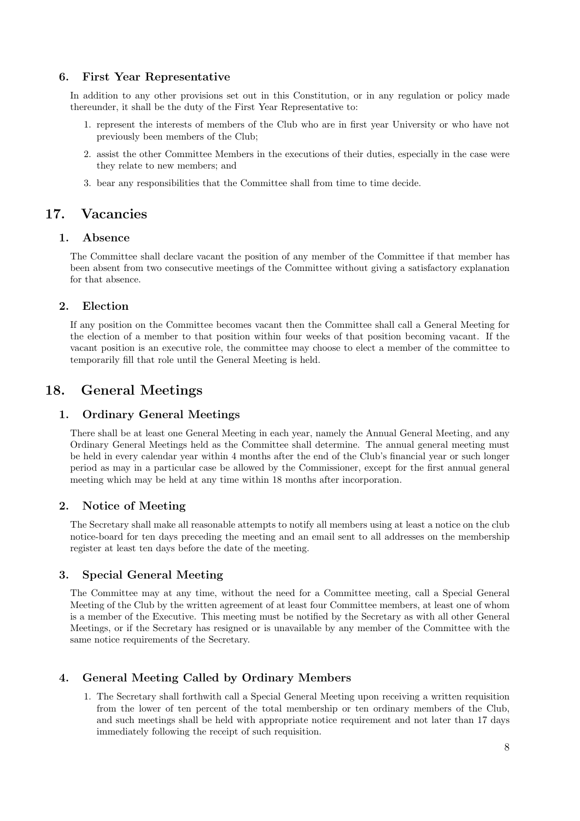#### 6. First Year Representative

In addition to any other provisions set out in this Constitution, or in any regulation or policy made thereunder, it shall be the duty of the First Year Representative to:

- 1. represent the interests of members of the Club who are in first year University or who have not previously been members of the Club;
- 2. assist the other Committee Members in the executions of their duties, especially in the case were they relate to new members; and
- 3. bear any responsibilities that the Committee shall from time to time decide.

### 17. Vacancies

#### 1. Absence

The Committee shall declare vacant the position of any member of the Committee if that member has been absent from two consecutive meetings of the Committee without giving a satisfactory explanation for that absence.

#### 2. Election

If any position on the Committee becomes vacant then the Committee shall call a General Meeting for the election of a member to that position within four weeks of that position becoming vacant. If the vacant position is an executive role, the committee may choose to elect a member of the committee to temporarily fill that role until the General Meeting is held.

### 18. General Meetings

#### 1. Ordinary General Meetings

There shall be at least one General Meeting in each year, namely the Annual General Meeting, and any Ordinary General Meetings held as the Committee shall determine. The annual general meeting must be held in every calendar year within 4 months after the end of the Club's financial year or such longer period as may in a particular case be allowed by the Commissioner, except for the first annual general meeting which may be held at any time within 18 months after incorporation.

### 2. Notice of Meeting

The Secretary shall make all reasonable attempts to notify all members using at least a notice on the club notice-board for ten days preceding the meeting and an email sent to all addresses on the membership register at least ten days before the date of the meeting.

#### 3. Special General Meeting

The Committee may at any time, without the need for a Committee meeting, call a Special General Meeting of the Club by the written agreement of at least four Committee members, at least one of whom is a member of the Executive. This meeting must be notified by the Secretary as with all other General Meetings, or if the Secretary has resigned or is unavailable by any member of the Committee with the same notice requirements of the Secretary.

#### 4. General Meeting Called by Ordinary Members

1. The Secretary shall forthwith call a Special General Meeting upon receiving a written requisition from the lower of ten percent of the total membership or ten ordinary members of the Club, and such meetings shall be held with appropriate notice requirement and not later than 17 days immediately following the receipt of such requisition.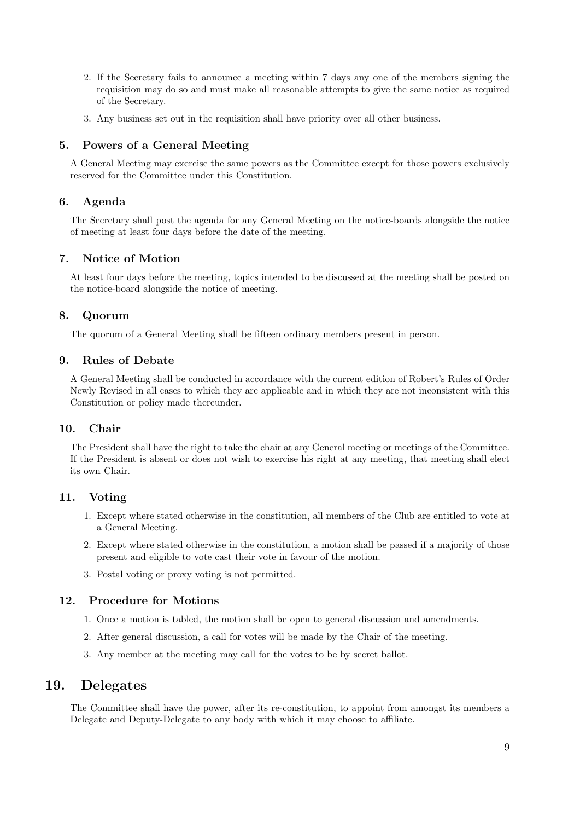- 2. If the Secretary fails to announce a meeting within 7 days any one of the members signing the requisition may do so and must make all reasonable attempts to give the same notice as required of the Secretary.
- 3. Any business set out in the requisition shall have priority over all other business.

#### 5. Powers of a General Meeting

A General Meeting may exercise the same powers as the Committee except for those powers exclusively reserved for the Committee under this Constitution.

#### 6. Agenda

The Secretary shall post the agenda for any General Meeting on the notice-boards alongside the notice of meeting at least four days before the date of the meeting.

#### 7. Notice of Motion

At least four days before the meeting, topics intended to be discussed at the meeting shall be posted on the notice-board alongside the notice of meeting.

#### 8. Quorum

The quorum of a General Meeting shall be fifteen ordinary members present in person.

### 9. Rules of Debate

A General Meeting shall be conducted in accordance with the current edition of Robert's Rules of Order Newly Revised in all cases to which they are applicable and in which they are not inconsistent with this Constitution or policy made thereunder.

#### 10. Chair

The President shall have the right to take the chair at any General meeting or meetings of the Committee. If the President is absent or does not wish to exercise his right at any meeting, that meeting shall elect its own Chair.

#### 11. Voting

- 1. Except where stated otherwise in the constitution, all members of the Club are entitled to vote at a General Meeting.
- 2. Except where stated otherwise in the constitution, a motion shall be passed if a majority of those present and eligible to vote cast their vote in favour of the motion.
- 3. Postal voting or proxy voting is not permitted.

#### 12. Procedure for Motions

- 1. Once a motion is tabled, the motion shall be open to general discussion and amendments.
- 2. After general discussion, a call for votes will be made by the Chair of the meeting.
- 3. Any member at the meeting may call for the votes to be by secret ballot.

### 19. Delegates

The Committee shall have the power, after its re-constitution, to appoint from amongst its members a Delegate and Deputy-Delegate to any body with which it may choose to affiliate.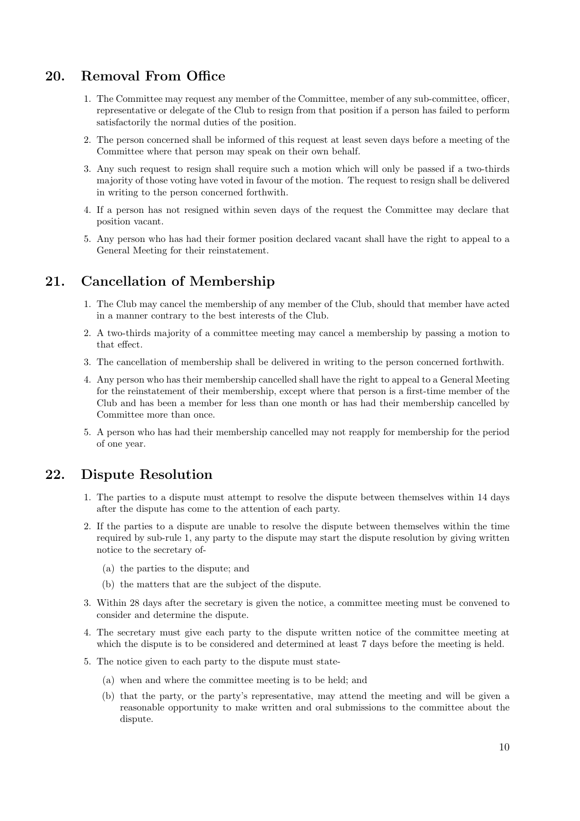# 20. Removal From Office

- 1. The Committee may request any member of the Committee, member of any sub-committee, officer, representative or delegate of the Club to resign from that position if a person has failed to perform satisfactorily the normal duties of the position.
- 2. The person concerned shall be informed of this request at least seven days before a meeting of the Committee where that person may speak on their own behalf.
- 3. Any such request to resign shall require such a motion which will only be passed if a two-thirds majority of those voting have voted in favour of the motion. The request to resign shall be delivered in writing to the person concerned forthwith.
- 4. If a person has not resigned within seven days of the request the Committee may declare that position vacant.
- 5. Any person who has had their former position declared vacant shall have the right to appeal to a General Meeting for their reinstatement.

# 21. Cancellation of Membership

- 1. The Club may cancel the membership of any member of the Club, should that member have acted in a manner contrary to the best interests of the Club.
- 2. A two-thirds majority of a committee meeting may cancel a membership by passing a motion to that effect.
- 3. The cancellation of membership shall be delivered in writing to the person concerned forthwith.
- 4. Any person who has their membership cancelled shall have the right to appeal to a General Meeting for the reinstatement of their membership, except where that person is a first-time member of the Club and has been a member for less than one month or has had their membership cancelled by Committee more than once.
- 5. A person who has had their membership cancelled may not reapply for membership for the period of one year.

### 22. Dispute Resolution

- 1. The parties to a dispute must attempt to resolve the dispute between themselves within 14 days after the dispute has come to the attention of each party.
- 2. If the parties to a dispute are unable to resolve the dispute between themselves within the time required by sub-rule 1, any party to the dispute may start the dispute resolution by giving written notice to the secretary of-
	- (a) the parties to the dispute; and
	- (b) the matters that are the subject of the dispute.
- 3. Within 28 days after the secretary is given the notice, a committee meeting must be convened to consider and determine the dispute.
- 4. The secretary must give each party to the dispute written notice of the committee meeting at which the dispute is to be considered and determined at least 7 days before the meeting is held.
- 5. The notice given to each party to the dispute must state-
	- (a) when and where the committee meeting is to be held; and
	- (b) that the party, or the party's representative, may attend the meeting and will be given a reasonable opportunity to make written and oral submissions to the committee about the dispute.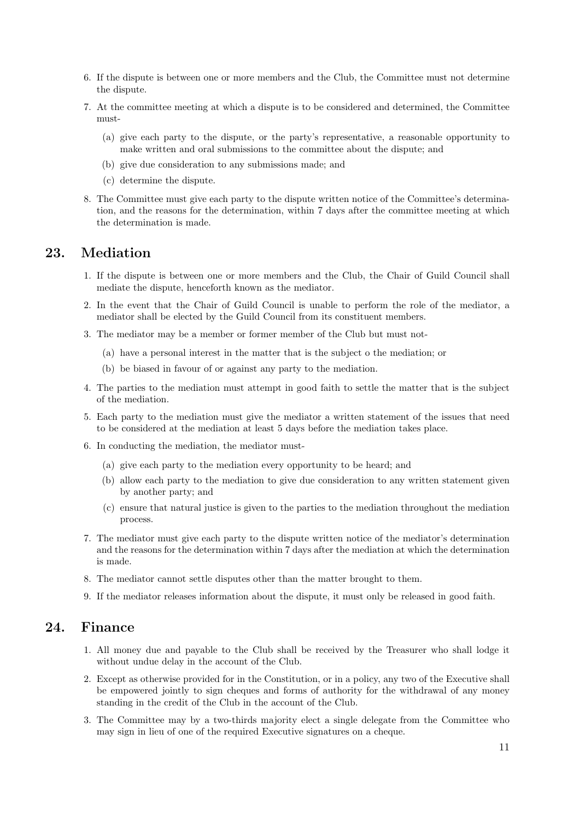- 6. If the dispute is between one or more members and the Club, the Committee must not determine the dispute.
- 7. At the committee meeting at which a dispute is to be considered and determined, the Committee must-
	- (a) give each party to the dispute, or the party's representative, a reasonable opportunity to make written and oral submissions to the committee about the dispute; and
	- (b) give due consideration to any submissions made; and
	- (c) determine the dispute.
- 8. The Committee must give each party to the dispute written notice of the Committee's determination, and the reasons for the determination, within 7 days after the committee meeting at which the determination is made.

### 23. Mediation

- 1. If the dispute is between one or more members and the Club, the Chair of Guild Council shall mediate the dispute, henceforth known as the mediator.
- 2. In the event that the Chair of Guild Council is unable to perform the role of the mediator, a mediator shall be elected by the Guild Council from its constituent members.
- 3. The mediator may be a member or former member of the Club but must not-
	- (a) have a personal interest in the matter that is the subject o the mediation; or
	- (b) be biased in favour of or against any party to the mediation.
- 4. The parties to the mediation must attempt in good faith to settle the matter that is the subject of the mediation.
- 5. Each party to the mediation must give the mediator a written statement of the issues that need to be considered at the mediation at least 5 days before the mediation takes place.
- 6. In conducting the mediation, the mediator must-
	- (a) give each party to the mediation every opportunity to be heard; and
	- (b) allow each party to the mediation to give due consideration to any written statement given by another party; and
	- (c) ensure that natural justice is given to the parties to the mediation throughout the mediation process.
- 7. The mediator must give each party to the dispute written notice of the mediator's determination and the reasons for the determination within 7 days after the mediation at which the determination is made.
- 8. The mediator cannot settle disputes other than the matter brought to them.
- 9. If the mediator releases information about the dispute, it must only be released in good faith.

### 24. Finance

- 1. All money due and payable to the Club shall be received by the Treasurer who shall lodge it without undue delay in the account of the Club.
- 2. Except as otherwise provided for in the Constitution, or in a policy, any two of the Executive shall be empowered jointly to sign cheques and forms of authority for the withdrawal of any money standing in the credit of the Club in the account of the Club.
- 3. The Committee may by a two-thirds majority elect a single delegate from the Committee who may sign in lieu of one of the required Executive signatures on a cheque.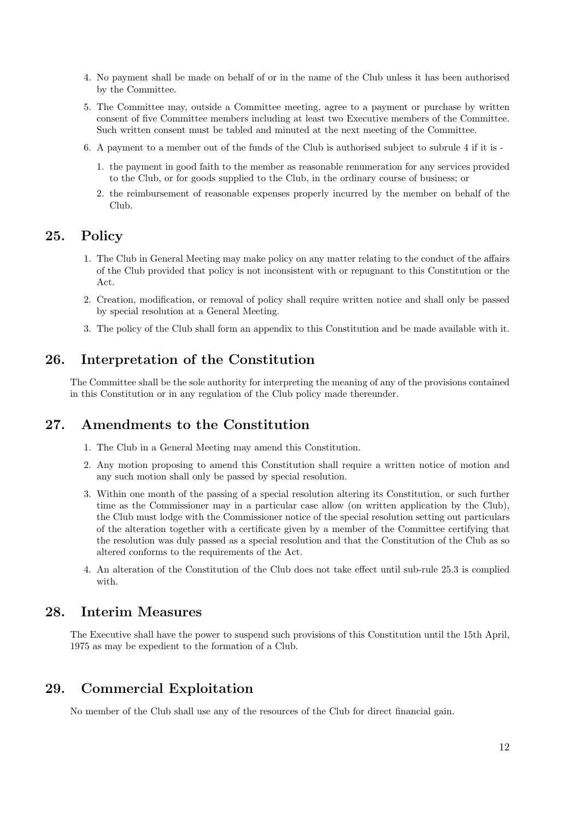- 4. No payment shall be made on behalf of or in the name of the Club unless it has been authorised by the Committee.
- 5. The Committee may, outside a Committee meeting, agree to a payment or purchase by written consent of five Committee members including at least two Executive members of the Committee. Such written consent must be tabled and minuted at the next meeting of the Committee.
- 6. A payment to a member out of the funds of the Club is authorised subject to subrule 4 if it is
	- 1. the payment in good faith to the member as reasonable renumeration for any services provided to the Club, or for goods supplied to the Club, in the ordinary course of business; or
	- 2. the reimbursement of reasonable expenses properly incurred by the member on behalf of the Club.

### 25. Policy

- 1. The Club in General Meeting may make policy on any matter relating to the conduct of the affairs of the Club provided that policy is not inconsistent with or repugnant to this Constitution or the Act.
- 2. Creation, modification, or removal of policy shall require written notice and shall only be passed by special resolution at a General Meeting.
- 3. The policy of the Club shall form an appendix to this Constitution and be made available with it.

### 26. Interpretation of the Constitution

The Committee shall be the sole authority for interpreting the meaning of any of the provisions contained in this Constitution or in any regulation of the Club policy made thereunder.

### 27. Amendments to the Constitution

- 1. The Club in a General Meeting may amend this Constitution.
- 2. Any motion proposing to amend this Constitution shall require a written notice of motion and any such motion shall only be passed by special resolution.
- 3. Within one month of the passing of a special resolution altering its Constitution, or such further time as the Commissioner may in a particular case allow (on written application by the Club), the Club must lodge with the Commissioner notice of the special resolution setting out particulars of the alteration together with a certificate given by a member of the Committee certifying that the resolution was duly passed as a special resolution and that the Constitution of the Club as so altered conforms to the requirements of the Act.
- 4. An alteration of the Constitution of the Club does not take effect until sub-rule 25.3 is complied with.

### 28. Interim Measures

The Executive shall have the power to suspend such provisions of this Constitution until the 15th April, 1975 as may be expedient to the formation of a Club.

# 29. Commercial Exploitation

No member of the Club shall use any of the resources of the Club for direct financial gain.